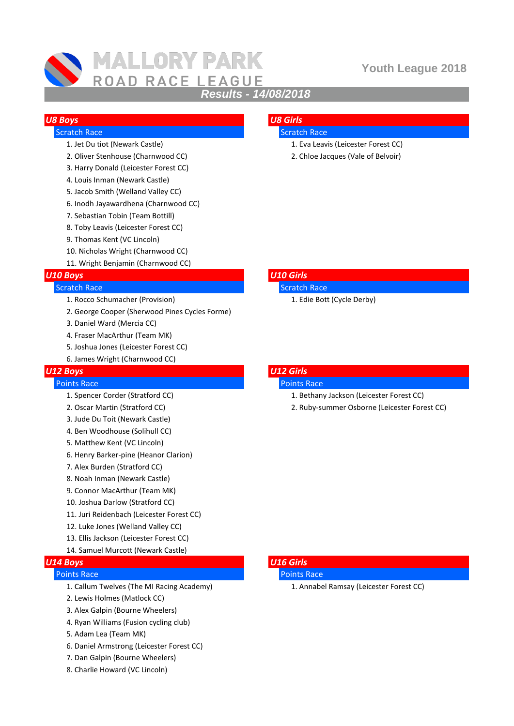

# **MALLORY PARK** ROAD RACE LEAGUE

## **Youth League 2018**

## *Results - 14/08/2018*

# *U8 Boys U8 Girls*

- -
- 3. Harry Donald (Leicester Forest CC)
- 4. Louis Inman (Newark Castle)
- 5. Jacob Smith (Welland Valley CC)
- 6. Inodh Jayawardhena (Charnwood CC)
- 7. Sebastian Tobin (Team Bottill)
- 8. Toby Leavis (Leicester Forest CC)
- 9. Thomas Kent (VC Lincoln)
- 10. Nicholas Wright (Charnwood CC)
- 11. Wright Benjamin (Charnwood CC)

## *U10 Boys U10 Girls*

### Scratch Race Scratch Race Scratch Race Scratch Race Scratch Race

- 1. Rocco Schumacher (Provision) 1. Edie Bott (Cycle Derby)
- 2. George Cooper (Sherwood Pines Cycles Forme)
- 3. Daniel Ward (Mercia CC)
- 4. Fraser MacArthur (Team MK)
- 5. Joshua Jones (Leicester Forest CC)
- 6. James Wright (Charnwood CC)

### *U12 Boys U12 Girls*

### **Points Race Points Race Points Race Points Race Points Race Points Race Points Race Points Race Points Race Points Race Points Race Points Race Points Race Points Race Points Race Points Race Points Race Points Race Point**

- 
- 
- 3. Jude Du Toit (Newark Castle)
- 4. Ben Woodhouse (Solihull CC)
- 5. Matthew Kent (VC Lincoln)
- 6. Henry Barker-pine (Heanor Clarion)
- 7. Alex Burden (Stratford CC)
- 8. Noah Inman (Newark Castle)
- 9. Connor MacArthur (Team MK)
- 10. Joshua Darlow (Stratford CC)
- 11. Juri Reidenbach (Leicester Forest CC)
- 12. Luke Jones (Welland Valley CC)
- 13. Ellis Jackson (Leicester Forest CC)
- 14. Samuel Murcott (Newark Castle)

## *U14 Boys U16 Girls*

## Points Race Points Race

- 1. Callum Twelves (The MI Racing Academy) 1. Annabel Ramsay (Leicester Forest CC)
- 2. Lewis Holmes (Matlock CC)
- 3. Alex Galpin (Bourne Wheelers)
- 4. Ryan Williams (Fusion cycling club)
- 5. Adam Lea (Team MK)
- 6. Daniel Armstrong (Leicester Forest CC)
- 7. Dan Galpin (Bourne Wheelers)
- 8. Charlie Howard (VC Lincoln)

## **Scratch Race Scratch Race Scratch Race Scratch Race Scratch Race Scratch Race Scratch Race Scratch Race Scratch Race Scratch Race Scratch Race Scratch Race Scratch Race Scratch Race Scratch Race Scratch Race Scratch Race**

- 1. Jet Du tiot (Newark Castle) 1. Eva Leavis (Leicester Forest CC)
- 2. Oliver Stenhouse (Charnwood CC) 2. Chloe Jacques (Vale of Belvoir)

- -

- 1. Spencer Corder (Stratford CC) and the state of the set of the state of the spencer Corder (Stratford CC)
- 2. Oscar Martin (Stratford CC) 2. Ruby-summer Osborne (Leicester Forest CC)